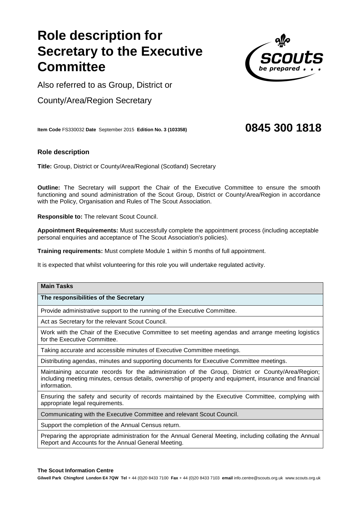# **Role description fo Secretary to the Executive Committee**

Also referred to as Group, District or

County/Area/Region Secretary

**Item Code** FS330032 **Date** September 2015 **Edition No. 3 (103358) 0845 300 1818**

# **Role description**

**Title:** Group, District or County/Area/Regional (Scotland) Secretary

**Outline:** The Secretary will support the Chair of the Executive Committee to ensure the smooth functioning and sound administration of the Scout Group, District or County/Area/Region in accordance with the Policy, Organisation and Rules of The Scout Association.

**Responsible to:** The relevant Scout Council.

**Appointment Requirements:** Must successfully complete the appointment process (including acceptable personal enquiries and acceptance of The Scout Association's policies).

**Training requirements:** Must complete Module 1 within 5 months of full appointment.

It is expected that whilst volunteering for this role you will undertake regulated activity.

## **Main Tasks**

### **The responsibilities of the Secretary**

Provide administrative support to the running of the Executive Committee.

Act as Secretary for the relevant Scout Council.

Work with the Chair of the Executive Committee to set meeting agendas and arrange meeting logistics for the Executive Committee.

Taking accurate and accessible minutes of Executive Committee meetings.

Distributing agendas, minutes and supporting documents for Executive Committee meetings.

Maintaining accurate records for the administration of the Group, District or County/Area/Region; including meeting minutes, census details, ownership of property and equipment, insurance and financial information.

Ensuring the safety and security of records maintained by the Executive Committee, complying with appropriate legal requirements.

Communicating with the Executive Committee and relevant Scout Council.

Support the completion of the Annual Census return.

Preparing the appropriate administration for the Annual General Meeting, including collating the Annual Report and Accounts for the Annual General Meeting.